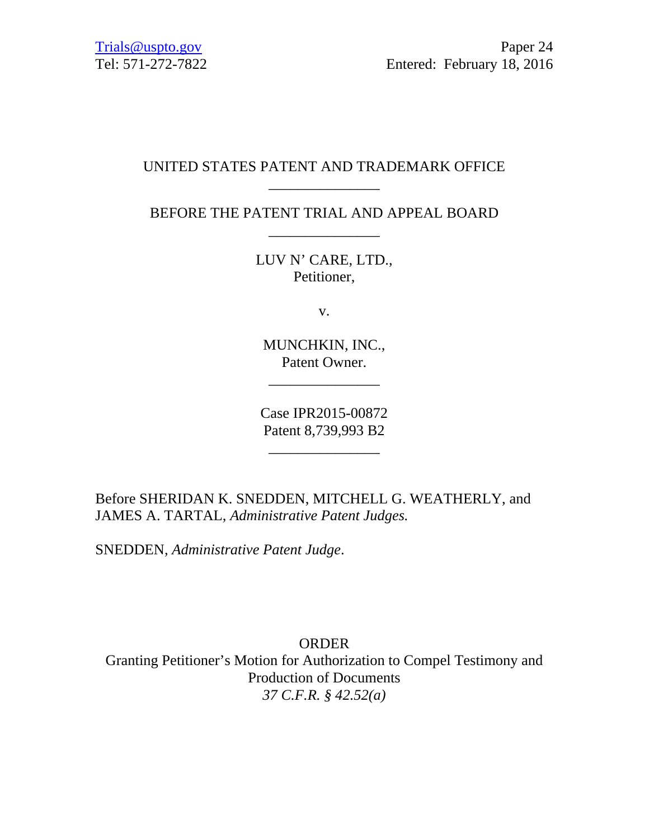# UNITED STATES PATENT AND TRADEMARK OFFICE \_\_\_\_\_\_\_\_\_\_\_\_\_\_\_

BEFORE THE PATENT TRIAL AND APPEAL BOARD \_\_\_\_\_\_\_\_\_\_\_\_\_\_\_

> LUV N' CARE, LTD., Petitioner,

> > v.

MUNCHKIN, INC., Patent Owner.

\_\_\_\_\_\_\_\_\_\_\_\_\_\_\_

Case IPR2015-00872 Patent 8,739,993 B2

 $\mathcal{L}_\text{max}$  and  $\mathcal{L}_\text{max}$  and  $\mathcal{L}_\text{max}$ 

Before SHERIDAN K. SNEDDEN, MITCHELL G. WEATHERLY, and JAMES A. TARTAL, *Administrative Patent Judges.* 

SNEDDEN, *Administrative Patent Judge*.

ORDER Granting Petitioner's Motion for Authorization to Compel Testimony and Production of Documents *37 C.F.R. § 42.52(a)*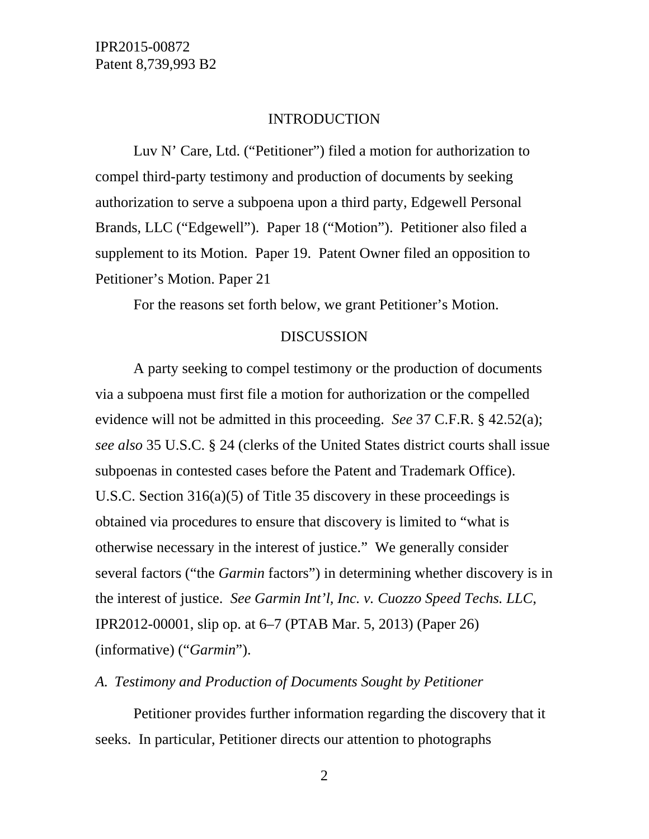### INTRODUCTION

Luv N' Care, Ltd. ("Petitioner") filed a motion for authorization to compel third-party testimony and production of documents by seeking authorization to serve a subpoena upon a third party, Edgewell Personal Brands, LLC ("Edgewell"). Paper 18 ("Motion"). Petitioner also filed a supplement to its Motion. Paper 19. Patent Owner filed an opposition to Petitioner's Motion. Paper 21

For the reasons set forth below, we grant Petitioner's Motion.

### DISCUSSION

A party seeking to compel testimony or the production of documents via a subpoena must first file a motion for authorization or the compelled evidence will not be admitted in this proceeding. *See* 37 C.F.R. § 42.52(a); *see also* 35 U.S.C. § 24 (clerks of the United States district courts shall issue subpoenas in contested cases before the Patent and Trademark Office). U.S.C. Section 316(a)(5) of Title 35 discovery in these proceedings is obtained via procedures to ensure that discovery is limited to "what is otherwise necessary in the interest of justice." We generally consider several factors ("the *Garmin* factors") in determining whether discovery is in the interest of justice. *See Garmin Int'l, Inc. v. Cuozzo Speed Techs. LLC*, IPR2012-00001, slip op. at 6–7 (PTAB Mar. 5, 2013) (Paper 26) (informative) ("*Garmin*").

## *A. Testimony and Production of Documents Sought by Petitioner*

Petitioner provides further information regarding the discovery that it seeks. In particular, Petitioner directs our attention to photographs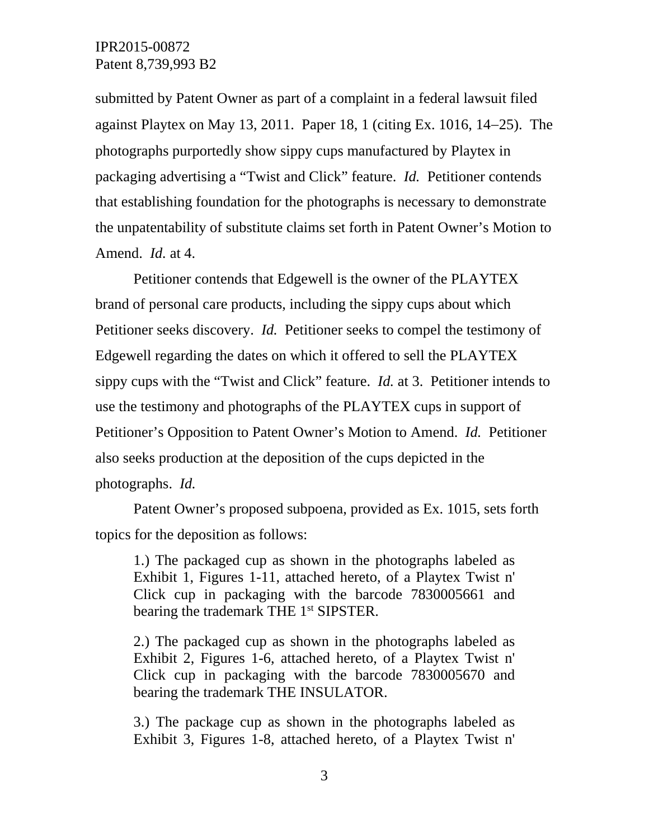submitted by Patent Owner as part of a complaint in a federal lawsuit filed against Playtex on May 13, 2011. Paper 18, 1 (citing Ex. 1016,  $14-25$ ). The photographs purportedly show sippy cups manufactured by Playtex in packaging advertising a "Twist and Click" feature. *Id.* Petitioner contends that establishing foundation for the photographs is necessary to demonstrate the unpatentability of substitute claims set forth in Patent Owner's Motion to Amend. *Id.* at 4.

Petitioner contends that Edgewell is the owner of the PLAYTEX brand of personal care products, including the sippy cups about which Petitioner seeks discovery. *Id.* Petitioner seeks to compel the testimony of Edgewell regarding the dates on which it offered to sell the PLAYTEX sippy cups with the "Twist and Click" feature. *Id.* at 3. Petitioner intends to use the testimony and photographs of the PLAYTEX cups in support of Petitioner's Opposition to Patent Owner's Motion to Amend. *Id.* Petitioner also seeks production at the deposition of the cups depicted in the photographs. *Id.* 

Patent Owner's proposed subpoena, provided as Ex. 1015, sets forth topics for the deposition as follows:

1.) The packaged cup as shown in the photographs labeled as Exhibit 1, Figures 1-11, attached hereto, of a Playtex Twist n' Click cup in packaging with the barcode 7830005661 and bearing the trademark THE 1<sup>st</sup> SIPSTER.

2.) The packaged cup as shown in the photographs labeled as Exhibit 2, Figures 1-6, attached hereto, of a Playtex Twist n' Click cup in packaging with the barcode 7830005670 and bearing the trademark THE INSULATOR.

3.) The package cup as shown in the photographs labeled as Exhibit 3, Figures 1-8, attached hereto, of a Playtex Twist n'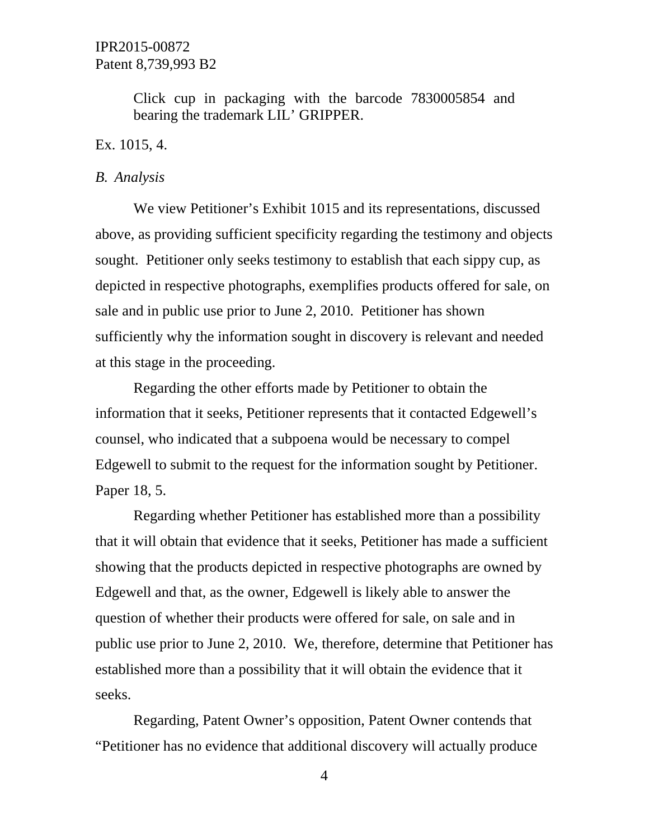Click cup in packaging with the barcode 7830005854 and bearing the trademark LIL' GRIPPER.

#### Ex. 1015, 4.

#### *B. Analysis*

We view Petitioner's Exhibit 1015 and its representations, discussed above, as providing sufficient specificity regarding the testimony and objects sought. Petitioner only seeks testimony to establish that each sippy cup, as depicted in respective photographs, exemplifies products offered for sale, on sale and in public use prior to June 2, 2010. Petitioner has shown sufficiently why the information sought in discovery is relevant and needed at this stage in the proceeding.

Regarding the other efforts made by Petitioner to obtain the information that it seeks, Petitioner represents that it contacted Edgewell's counsel, who indicated that a subpoena would be necessary to compel Edgewell to submit to the request for the information sought by Petitioner. Paper 18, 5.

Regarding whether Petitioner has established more than a possibility that it will obtain that evidence that it seeks, Petitioner has made a sufficient showing that the products depicted in respective photographs are owned by Edgewell and that, as the owner, Edgewell is likely able to answer the question of whether their products were offered for sale, on sale and in public use prior to June 2, 2010. We, therefore, determine that Petitioner has established more than a possibility that it will obtain the evidence that it seeks.

Regarding, Patent Owner's opposition, Patent Owner contends that "Petitioner has no evidence that additional discovery will actually produce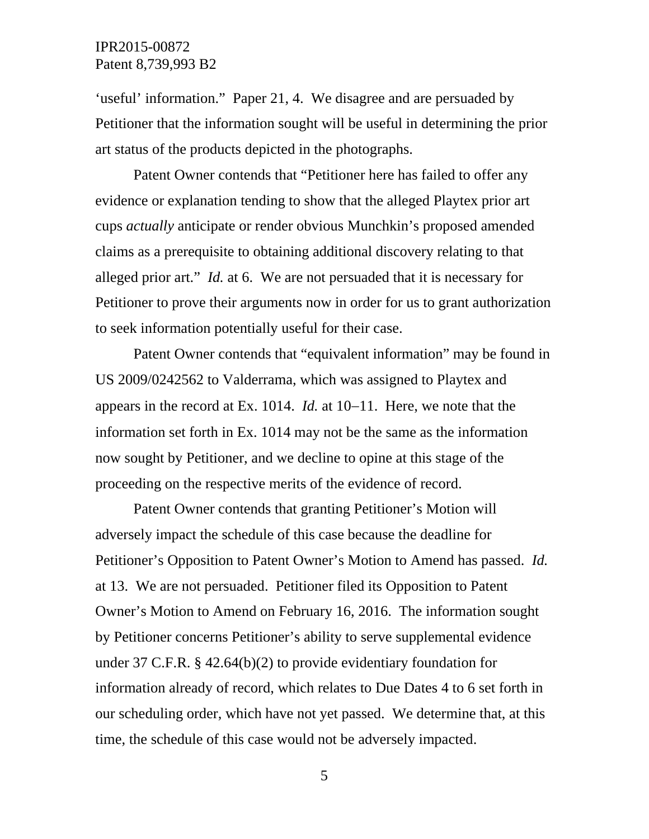'useful' information." Paper 21, 4. We disagree and are persuaded by Petitioner that the information sought will be useful in determining the prior art status of the products depicted in the photographs.

Patent Owner contends that "Petitioner here has failed to offer any evidence or explanation tending to show that the alleged Playtex prior art cups *actually* anticipate or render obvious Munchkin's proposed amended claims as a prerequisite to obtaining additional discovery relating to that alleged prior art." *Id.* at 6. We are not persuaded that it is necessary for Petitioner to prove their arguments now in order for us to grant authorization to seek information potentially useful for their case.

Patent Owner contends that "equivalent information" may be found in US 2009/0242562 to Valderrama, which was assigned to Playtex and appears in the record at Ex. 1014. *Id.* at 10–11. Here, we note that the information set forth in Ex. 1014 may not be the same as the information now sought by Petitioner, and we decline to opine at this stage of the proceeding on the respective merits of the evidence of record.

Patent Owner contends that granting Petitioner's Motion will adversely impact the schedule of this case because the deadline for Petitioner's Opposition to Patent Owner's Motion to Amend has passed. *Id.*  at 13.We are not persuaded. Petitioner filed its Opposition to Patent Owner's Motion to Amend on February 16, 2016. The information sought by Petitioner concerns Petitioner's ability to serve supplemental evidence under 37 C.F.R. § 42.64(b)(2) to provide evidentiary foundation for information already of record, which relates to Due Dates 4 to 6 set forth in our scheduling order, which have not yet passed. We determine that, at this time, the schedule of this case would not be adversely impacted.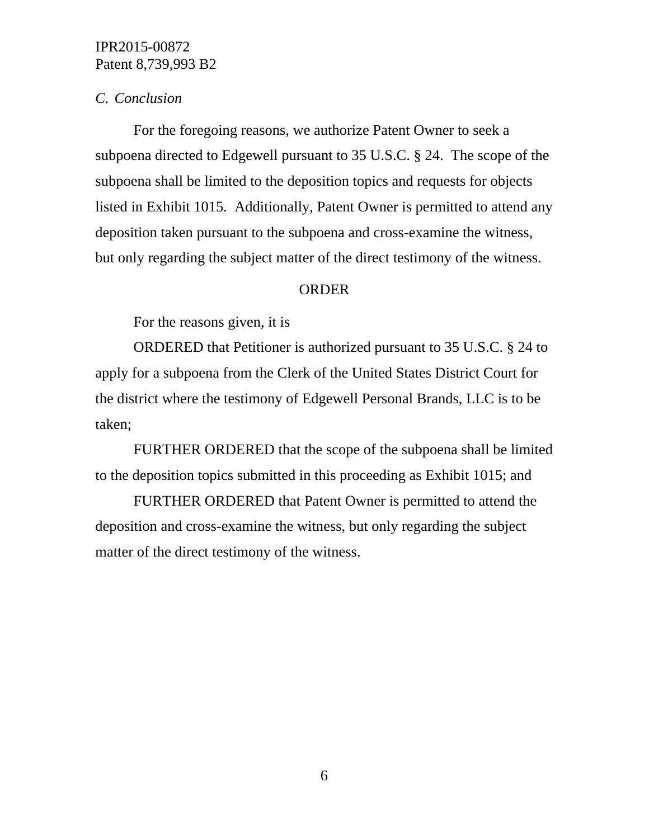### *C. Conclusion*

For the foregoing reasons, we authorize Patent Owner to seek a subpoena directed to Edgewell pursuant to 35 U.S.C. § 24. The scope of the subpoena shall be limited to the deposition topics and requests for objects listed in Exhibit 1015. Additionally, Patent Owner is permitted to attend any deposition taken pursuant to the subpoena and cross-examine the witness, but only regarding the subject matter of the direct testimony of the witness.

### ORDER

For the reasons given, it is

ORDERED that Petitioner is authorized pursuant to 35 U.S.C. § 24 to apply for a subpoena from the Clerk of the United States District Court for the district where the testimony of Edgewell Personal Brands, LLC is to be taken;

FURTHER ORDERED that the scope of the subpoena shall be limited to the deposition topics submitted in this proceeding as Exhibit 1015; and

FURTHER ORDERED that Patent Owner is permitted to attend the deposition and cross-examine the witness, but only regarding the subject matter of the direct testimony of the witness.